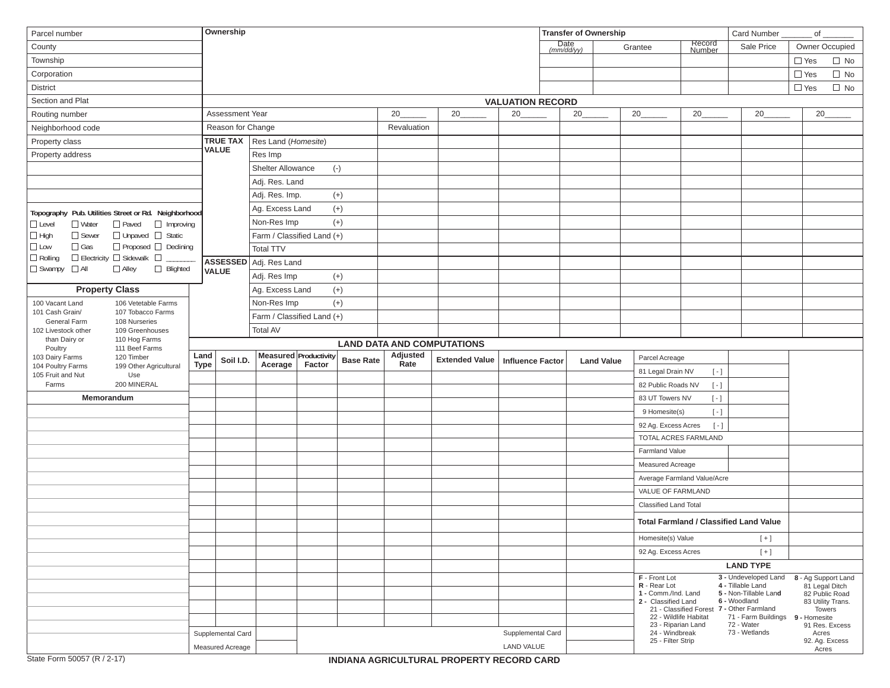| Parcel number                                        |                                    | Ownership   |                   |                                     |                       |                  |             |                                   |                         | <b>Transfer of Ownership</b> |                   |                                                                                                      | Card Number                                   |                                                                                                                                                                     | $\circ$ of $\overline{\phantom{a}}$ |                                                                                        |
|------------------------------------------------------|------------------------------------|-------------|-------------------|-------------------------------------|-----------------------|------------------|-------------|-----------------------------------|-------------------------|------------------------------|-------------------|------------------------------------------------------------------------------------------------------|-----------------------------------------------|---------------------------------------------------------------------------------------------------------------------------------------------------------------------|-------------------------------------|----------------------------------------------------------------------------------------|
| County                                               |                                    |             |                   |                                     |                       |                  |             |                                   |                         | Date<br>(mm/dd/yy)           |                   | Grantee                                                                                              | Record<br>Number                              | Sale Price                                                                                                                                                          |                                     | Owner Occupied                                                                         |
| Township                                             |                                    |             |                   |                                     |                       |                  |             |                                   |                         |                              |                   |                                                                                                      |                                               |                                                                                                                                                                     | $\Box$ Yes                          | $\Box$ No                                                                              |
| Corporation                                          |                                    |             |                   |                                     |                       |                  |             |                                   |                         |                              |                   |                                                                                                      |                                               | $\Box$ Yes                                                                                                                                                          | $\Box$ No                           |                                                                                        |
| <b>District</b>                                      |                                    |             |                   |                                     |                       |                  |             |                                   |                         |                              |                   |                                                                                                      |                                               |                                                                                                                                                                     | $\Box$ Yes                          | $\Box$ No                                                                              |
| Section and Plat                                     |                                    |             |                   |                                     |                       |                  |             |                                   | <b>VALUATION RECORD</b> |                              |                   |                                                                                                      |                                               |                                                                                                                                                                     |                                     |                                                                                        |
| Routing number                                       |                                    |             | Assessment Year   |                                     |                       |                  | 20          | 20                                | 20                      | 20                           |                   | 20                                                                                                   | 20                                            | 20                                                                                                                                                                  |                                     | 20                                                                                     |
| Neighborhood code                                    |                                    |             | Reason for Change |                                     |                       |                  | Revaluation |                                   |                         |                              |                   |                                                                                                      |                                               |                                                                                                                                                                     |                                     |                                                                                        |
| Property class<br>Property address                   |                                    |             |                   | <b>TRUE TAX</b> Res Land (Homesite) |                       |                  |             |                                   |                         |                              |                   |                                                                                                      |                                               |                                                                                                                                                                     |                                     |                                                                                        |
|                                                      |                                    |             | <b>VALUE</b>      | Res Imp                             |                       |                  |             |                                   |                         |                              |                   |                                                                                                      |                                               |                                                                                                                                                                     |                                     |                                                                                        |
|                                                      |                                    |             |                   | <b>Shelter Allowance</b>            |                       | $(\cdot)$        |             |                                   |                         |                              |                   |                                                                                                      |                                               |                                                                                                                                                                     |                                     |                                                                                        |
|                                                      |                                    |             |                   | Adj. Res. Land                      |                       |                  |             |                                   |                         |                              |                   |                                                                                                      |                                               |                                                                                                                                                                     |                                     |                                                                                        |
|                                                      |                                    |             |                   | Adj. Res. Imp.                      |                       | $^{(+)}$         |             |                                   |                         |                              |                   |                                                                                                      |                                               |                                                                                                                                                                     |                                     |                                                                                        |
| Topography Pub. Utilities Street or Rd. Neighborhood |                                    |             |                   | Ag. Excess Land                     |                       | $(+)$            |             |                                   |                         |                              |                   |                                                                                                      |                                               |                                                                                                                                                                     |                                     |                                                                                        |
| $\Box$ Level<br>$\Box$ Water                         | $\Box$ Paved<br>Improving          |             |                   | Non-Res Imp                         |                       | $(+)$            |             |                                   |                         |                              |                   |                                                                                                      |                                               |                                                                                                                                                                     |                                     |                                                                                        |
| $\Box$ High<br>□ Sewer                               | □ Unpaved □ Static                 |             |                   | Farm / Classified Land (+)          |                       |                  |             |                                   |                         |                              |                   |                                                                                                      |                                               |                                                                                                                                                                     |                                     |                                                                                        |
| $\square$ Low<br>$\Box$ Gas                          | □ Proposed □ Declining             |             |                   | <b>Total TTV</b>                    |                       |                  |             |                                   |                         |                              |                   |                                                                                                      |                                               |                                                                                                                                                                     |                                     |                                                                                        |
| $\square$ Rolling<br>$\square$ Swampy $\square$ All  | □ Electricity □ Sidewalk □         |             |                   | ASSESSED Adj. Res Land              |                       |                  |             |                                   |                         |                              |                   |                                                                                                      |                                               |                                                                                                                                                                     |                                     |                                                                                        |
|                                                      | $\Box$ Alley<br>□ Blighted         |             | <b>VALUE</b>      | Adj. Res Imp                        |                       | $(+)$            |             |                                   |                         |                              |                   |                                                                                                      |                                               |                                                                                                                                                                     |                                     |                                                                                        |
| <b>Property Class</b>                                |                                    |             | Ag. Excess Land   |                                     | $(+)$                 |                  |             |                                   |                         |                              |                   |                                                                                                      |                                               |                                                                                                                                                                     |                                     |                                                                                        |
| 100 Vacant Land                                      | 106 Vetetable Farms                |             |                   | Non-Res Imp                         |                       | $(+)$            |             |                                   |                         |                              |                   |                                                                                                      |                                               |                                                                                                                                                                     |                                     |                                                                                        |
| 101 Cash Grain/<br>General Farm                      | 107 Tobacco Farms<br>108 Nurseries |             |                   | Farm / Classified Land (+)          |                       |                  |             |                                   |                         |                              |                   |                                                                                                      |                                               |                                                                                                                                                                     |                                     |                                                                                        |
| 102 Livestock other                                  | 109 Greenhouses                    |             |                   | <b>Total AV</b>                     |                       |                  |             |                                   |                         |                              |                   |                                                                                                      |                                               |                                                                                                                                                                     |                                     |                                                                                        |
| than Dairy or                                        | 110 Hog Farms                      |             |                   |                                     |                       |                  |             | <b>LAND DATA AND COMPUTATIONS</b> |                         |                              |                   |                                                                                                      |                                               |                                                                                                                                                                     |                                     |                                                                                        |
| Poultry<br>103 Dairy Farms                           | 111 Beef Farms<br>120 Timber       | Land        | Soil I.D.         |                                     | Measured Productivity | <b>Base Rate</b> | Adjusted    | <b>Extended Value</b>             | <b>Influence Factor</b> |                              | <b>Land Value</b> | Parcel Acreage                                                                                       |                                               |                                                                                                                                                                     |                                     |                                                                                        |
| 104 Poultry Farms                                    | 199 Other Agricultural             | <b>Type</b> |                   | Acerage                             | Factor                |                  | Rate        |                                   |                         |                              |                   | 81 Legal Drain NV                                                                                    | $[-]$                                         |                                                                                                                                                                     |                                     |                                                                                        |
| 105 Fruit and Nut<br>Farms                           | Use<br>200 MINERAL                 |             |                   |                                     |                       |                  |             |                                   |                         |                              |                   | 82 Public Roads NV                                                                                   | $[-]$                                         |                                                                                                                                                                     |                                     |                                                                                        |
|                                                      | Memorandum                         |             |                   |                                     |                       |                  |             |                                   |                         |                              |                   | 83 UT Towers NV                                                                                      | $\left[\begin{array}{c} - \end{array}\right]$ |                                                                                                                                                                     |                                     |                                                                                        |
|                                                      |                                    |             |                   |                                     |                       |                  |             |                                   |                         |                              |                   | 9 Homesite(s)                                                                                        | $\left[ -\right]$                             |                                                                                                                                                                     |                                     |                                                                                        |
|                                                      |                                    |             |                   |                                     |                       |                  |             |                                   |                         |                              |                   | 92 Ag. Excess Acres                                                                                  | $[-]$                                         |                                                                                                                                                                     |                                     |                                                                                        |
|                                                      |                                    |             |                   |                                     |                       |                  |             |                                   |                         |                              |                   | TOTAL ACRES FARMLAND                                                                                 |                                               |                                                                                                                                                                     |                                     |                                                                                        |
|                                                      |                                    |             |                   |                                     |                       |                  |             |                                   |                         |                              |                   | Farmland Value                                                                                       |                                               |                                                                                                                                                                     |                                     |                                                                                        |
|                                                      |                                    |             |                   |                                     |                       |                  |             |                                   |                         |                              |                   | Measured Acreage                                                                                     |                                               |                                                                                                                                                                     |                                     |                                                                                        |
|                                                      |                                    |             |                   |                                     |                       |                  |             |                                   |                         |                              |                   |                                                                                                      | Average Farmland Value/Acre                   |                                                                                                                                                                     |                                     |                                                                                        |
|                                                      |                                    |             |                   |                                     |                       |                  |             |                                   |                         |                              |                   | VALUE OF FARMLAND                                                                                    |                                               |                                                                                                                                                                     |                                     |                                                                                        |
|                                                      |                                    |             |                   |                                     |                       |                  |             |                                   |                         |                              |                   | <b>Classified Land Total</b>                                                                         |                                               |                                                                                                                                                                     |                                     |                                                                                        |
|                                                      |                                    |             |                   |                                     |                       |                  |             |                                   |                         |                              |                   |                                                                                                      |                                               | <b>Total Farmland / Classified Land Value</b>                                                                                                                       |                                     |                                                                                        |
|                                                      |                                    |             |                   |                                     |                       |                  |             |                                   |                         |                              |                   | Homesite(s) Value                                                                                    |                                               | $[+]$                                                                                                                                                               |                                     |                                                                                        |
|                                                      |                                    |             |                   |                                     |                       |                  |             |                                   |                         |                              |                   | 92 Ag. Excess Acres                                                                                  |                                               | $[+]$                                                                                                                                                               |                                     |                                                                                        |
|                                                      |                                    |             |                   |                                     |                       |                  |             |                                   |                         |                              |                   |                                                                                                      |                                               | <b>LAND TYPE</b>                                                                                                                                                    |                                     |                                                                                        |
|                                                      |                                    |             |                   |                                     |                       |                  |             |                                   |                         |                              |                   | F - Front Lot<br>R - Rear Lot<br>1 - Comm./Ind. Land<br>2 - Classified Land<br>22 - Wildlife Habitat |                                               | 3 - Undeveloped Land<br>4 - Tillable Land<br>5 - Non-Tillable Land<br>6 - Woodland<br>21 - Classified Forest 7 - Other Farmland<br>71 - Farm Buildings 9 - Homesite |                                     | 8 - Ag Support Land<br>81 Legal Ditch<br>82 Public Road<br>83 Utility Trans.<br>Towers |
|                                                      |                                    |             |                   |                                     |                       |                  |             |                                   |                         |                              |                   |                                                                                                      |                                               |                                                                                                                                                                     |                                     |                                                                                        |
|                                                      |                                    |             | Supplemental Card |                                     |                       |                  |             |                                   | Supplemental Card       |                              |                   | 23 - Riparian Land<br>24 - Windbreak                                                                 |                                               | 72 - Water<br>73 - Wetlands                                                                                                                                         |                                     | 91 Res. Excess<br>Acres                                                                |